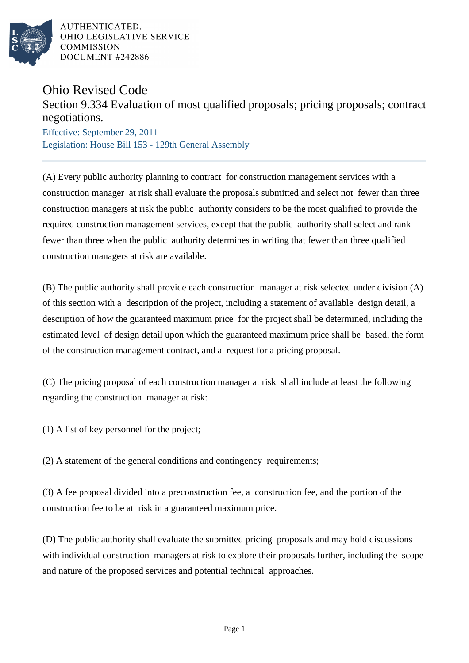

AUTHENTICATED. OHIO LEGISLATIVE SERVICE **COMMISSION** DOCUMENT #242886

## Ohio Revised Code

## Section 9.334 Evaluation of most qualified proposals; pricing proposals; contract negotiations.

Effective: September 29, 2011 Legislation: House Bill 153 - 129th General Assembly

(A) Every public authority planning to contract for construction management services with a construction manager at risk shall evaluate the proposals submitted and select not fewer than three construction managers at risk the public authority considers to be the most qualified to provide the required construction management services, except that the public authority shall select and rank fewer than three when the public authority determines in writing that fewer than three qualified construction managers at risk are available.

(B) The public authority shall provide each construction manager at risk selected under division (A) of this section with a description of the project, including a statement of available design detail, a description of how the guaranteed maximum price for the project shall be determined, including the estimated level of design detail upon which the guaranteed maximum price shall be based, the form of the construction management contract, and a request for a pricing proposal.

(C) The pricing proposal of each construction manager at risk shall include at least the following regarding the construction manager at risk:

(1) A list of key personnel for the project;

(2) A statement of the general conditions and contingency requirements;

(3) A fee proposal divided into a preconstruction fee, a construction fee, and the portion of the construction fee to be at risk in a guaranteed maximum price.

(D) The public authority shall evaluate the submitted pricing proposals and may hold discussions with individual construction managers at risk to explore their proposals further, including the scope and nature of the proposed services and potential technical approaches.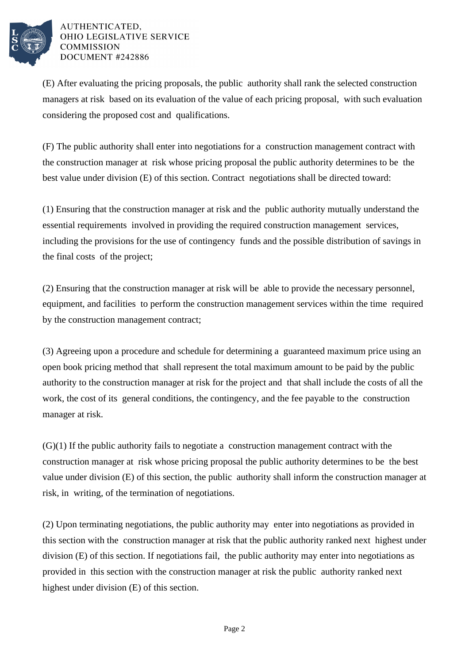

## AUTHENTICATED, OHIO LEGISLATIVE SERVICE **COMMISSION** DOCUMENT #242886

(E) After evaluating the pricing proposals, the public authority shall rank the selected construction managers at risk based on its evaluation of the value of each pricing proposal, with such evaluation considering the proposed cost and qualifications.

(F) The public authority shall enter into negotiations for a construction management contract with the construction manager at risk whose pricing proposal the public authority determines to be the best value under division (E) of this section. Contract negotiations shall be directed toward:

(1) Ensuring that the construction manager at risk and the public authority mutually understand the essential requirements involved in providing the required construction management services, including the provisions for the use of contingency funds and the possible distribution of savings in the final costs of the project;

(2) Ensuring that the construction manager at risk will be able to provide the necessary personnel, equipment, and facilities to perform the construction management services within the time required by the construction management contract;

(3) Agreeing upon a procedure and schedule for determining a guaranteed maximum price using an open book pricing method that shall represent the total maximum amount to be paid by the public authority to the construction manager at risk for the project and that shall include the costs of all the work, the cost of its general conditions, the contingency, and the fee payable to the construction manager at risk.

 $(G)(1)$  If the public authority fails to negotiate a construction management contract with the construction manager at risk whose pricing proposal the public authority determines to be the best value under division (E) of this section, the public authority shall inform the construction manager at risk, in writing, of the termination of negotiations.

(2) Upon terminating negotiations, the public authority may enter into negotiations as provided in this section with the construction manager at risk that the public authority ranked next highest under division (E) of this section. If negotiations fail, the public authority may enter into negotiations as provided in this section with the construction manager at risk the public authority ranked next highest under division (E) of this section.